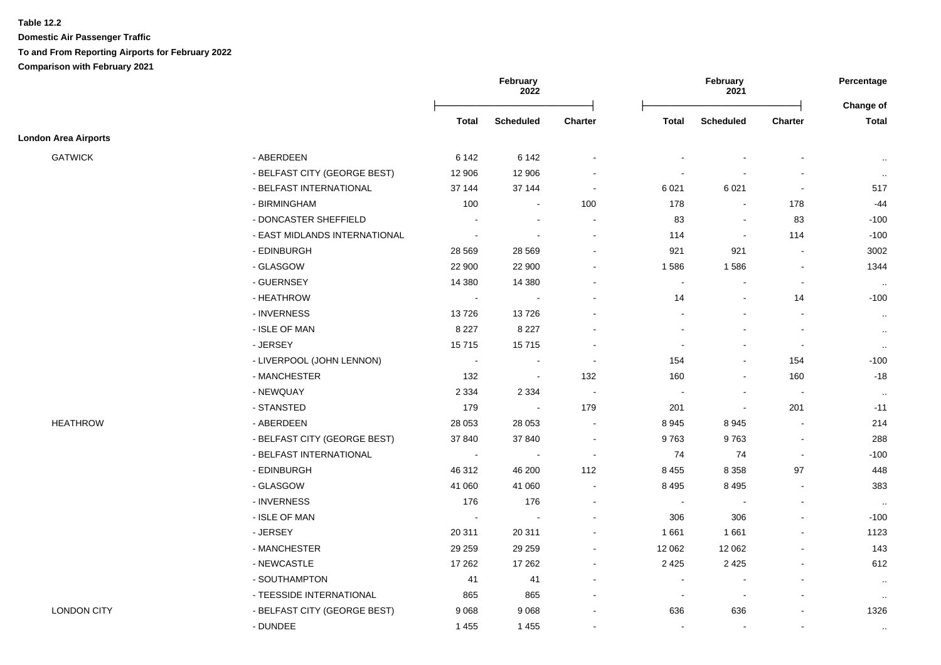**Domestic Air Passenger Traffic To and From Reporting Airports for February 2022 Comparison with February 2021**

|                             |                               |                | February<br>2022         |                          | February<br>2021 |                  | Percentage<br>Change of  |              |
|-----------------------------|-------------------------------|----------------|--------------------------|--------------------------|------------------|------------------|--------------------------|--------------|
|                             |                               | Total          | <b>Scheduled</b>         | <b>Charter</b>           | Total            | <b>Scheduled</b> | <b>Charter</b>           | <b>Total</b> |
| <b>London Area Airports</b> |                               |                |                          |                          |                  |                  |                          |              |
| <b>GATWICK</b>              | - ABERDEEN                    | 6 1 4 2        | 6 1 4 2                  | $\overline{\phantom{a}}$ |                  |                  |                          | $\sim$       |
|                             | - BELFAST CITY (GEORGE BEST)  | 12 906         | 12 906                   |                          |                  |                  |                          | $\sim$       |
|                             | - BELFAST INTERNATIONAL       | 37 144         | 37 144                   | $\sim$                   | 6021             | 6 0 21           | $\sim$                   | 517          |
|                             | - BIRMINGHAM                  | 100            | $\blacksquare$           | 100                      | 178              | $\sim$           | 178                      | -44          |
|                             | - DONCASTER SHEFFIELD         |                | $\overline{\phantom{a}}$ | $\overline{\phantom{a}}$ | 83               |                  | 83                       | $-100$       |
|                             | - EAST MIDLANDS INTERNATIONAL |                |                          |                          | 114              | $\sim$           | 114                      | $-100$       |
|                             | - EDINBURGH                   | 28 5 69        | 28 5 69                  |                          | 921              | 921              | $\tilde{\phantom{a}}$    | 3002         |
|                             | - GLASGOW                     | 22 900         | 22 900                   |                          | 1586             | 1586             | $\blacksquare$           | 1344         |
|                             | - GUERNSEY                    | 14 3 8 0       | 14 380                   |                          | $\sim$           |                  | $\blacksquare$           | $\sim$       |
|                             | - HEATHROW                    | $\blacksquare$ | $\sim$                   |                          | 14               |                  | 14                       | $-100$       |
|                             | - INVERNESS                   | 13726          | 13726                    |                          |                  |                  | $\blacksquare$           | $\sim$       |
|                             | - ISLE OF MAN                 | 8 2 2 7        | 8 2 2 7                  |                          |                  |                  | $\blacksquare$           | $\sim$       |
|                             | - JERSEY                      | 15715          | 15715                    | $\overline{\phantom{a}}$ |                  |                  | $\overline{\phantom{a}}$ | $\sim$       |
|                             | - LIVERPOOL (JOHN LENNON)     | $\sim$         | $\sim$                   | $\sim$                   | 154              |                  | 154                      | $-100$       |
|                             | - MANCHESTER                  | 132            | $\sim$                   | 132                      | 160              |                  | 160                      | $-18$        |
|                             | - NEWQUAY                     | 2 3 3 4        | 2 3 3 4                  | $\blacksquare$           |                  | $\sim$           | $\sim$                   | $\sim$       |
|                             | - STANSTED                    | 179            | $\sim$                   | 179                      | 201              | $\sim$           | 201                      | $-11$        |
| <b>HEATHROW</b>             | - ABERDEEN                    | 28 053         | 28 053                   | $\blacksquare$           | 8945             | 8945             | $\blacksquare$           | 214          |
|                             | - BELFAST CITY (GEORGE BEST)  | 37 840         | 37 840                   | $\ddot{\phantom{0}}$     | 9763             | 9763             | $\blacksquare$           | 288          |
|                             | - BELFAST INTERNATIONAL       | $\mathbf{r}$   | $\sim$                   | $\sim$                   | 74               | 74               | $\blacksquare$           | $-100$       |
|                             | - EDINBURGH                   | 46 312         | 46 200                   | 112                      | 8 4 5 5          | 8 3 5 8          | 97                       | 448          |
|                             | - GLASGOW                     | 41 060         | 41 060                   | $\blacksquare$           | 8 4 9 5          | 8 4 9 5          | $\blacksquare$           | 383          |
|                             | - INVERNESS                   | 176            | 176                      | $\overline{\phantom{a}}$ | $\sim$           | $\blacksquare$   | $\blacksquare$           | $\sim$       |
|                             | - ISLE OF MAN                 | $\blacksquare$ | $\overline{\phantom{a}}$ |                          | 306              | 306              | $\blacksquare$           | $-100$       |
|                             | - JERSEY                      | 20 311         | 20 311                   | $\overline{a}$           | 1661             | 1661             | $\overline{a}$           | 1123         |
|                             | - MANCHESTER                  | 29 25 9        | 29 25 9                  | $\blacksquare$           | 12 062           | 12 062           |                          | 143          |
|                             | - NEWCASTLE                   | 17 26 2        | 17 26 2                  |                          | 2 4 2 5          | 2 4 2 5          |                          | 612          |
|                             | - SOUTHAMPTON                 | 41             | 41                       |                          |                  |                  | $\blacksquare$           | $\sim$       |
|                             | - TEESSIDE INTERNATIONAL      | 865            | 865                      |                          | $\blacksquare$   | $\sim$           | $\blacksquare$           | $\sim$       |
| <b>LONDON CITY</b>          | - BELFAST CITY (GEORGE BEST)  | 9 0 68         | 9 0 68                   | $\blacksquare$           | 636              | 636              | $\blacksquare$           | 1326         |
|                             | - DUNDEE                      | 1 4 5 5        | 1 4 5 5                  | $\blacksquare$           |                  | $\sim$           | $\blacksquare$           | $\mathbf{H}$ |
|                             |                               |                |                          |                          |                  |                  |                          |              |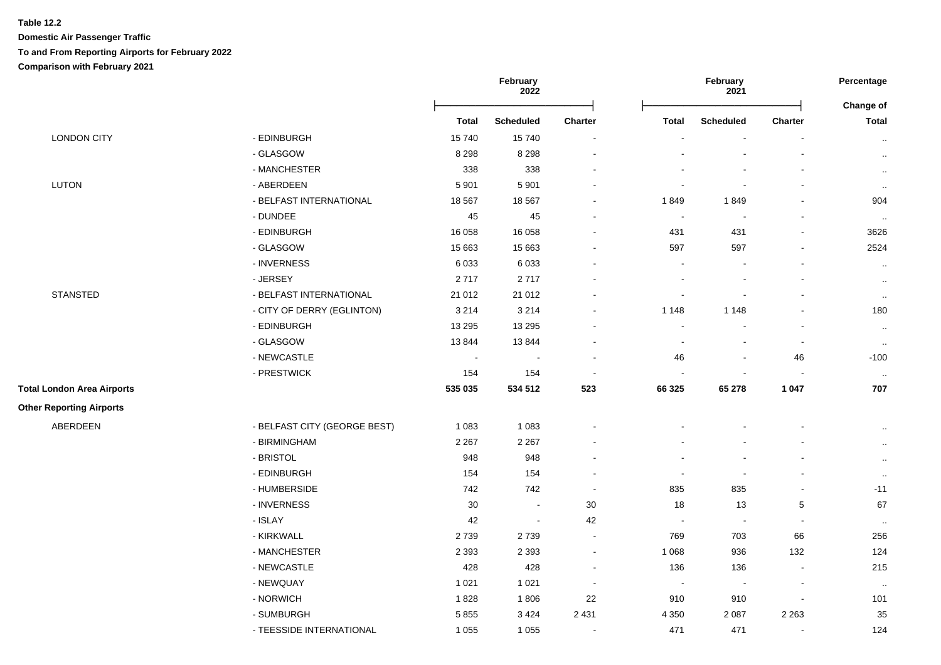## **Table 12.2 Domestic Air Passenger Traffic To and From Reporting Airports for February 2022 Comparison with February 2021**

|                                   |                              |              | February<br>2022 |                | February<br>2021         |                                                                                                                                                       | Percentage                   |                                  |
|-----------------------------------|------------------------------|--------------|------------------|----------------|--------------------------|-------------------------------------------------------------------------------------------------------------------------------------------------------|------------------------------|----------------------------------|
|                                   |                              | <b>Total</b> | <b>Scheduled</b> | Charter        | <b>Total</b>             | <b>Scheduled</b>                                                                                                                                      | Charter                      | <b>Change of</b><br><b>Total</b> |
| <b>LONDON CITY</b>                | - EDINBURGH                  | 15740        | 15740            | $\sim$         | $\blacksquare$           | $\blacksquare$                                                                                                                                        | $\overline{\phantom{a}}$     | $\cdot$ .                        |
|                                   | - GLASGOW                    | 8 2 9 8      | 8 2 9 8          | $\sim$         |                          |                                                                                                                                                       |                              | $\cdot$ .                        |
|                                   | - MANCHESTER                 | 338          | 338              |                |                          |                                                                                                                                                       | $\blacksquare$               | $\cdot$                          |
| <b>LUTON</b>                      | - ABERDEEN                   | 5 9 0 1      | 5 9 0 1          | $\blacksquare$ | $\blacksquare$           |                                                                                                                                                       | $\blacksquare$               | $\cdot$ .                        |
|                                   | - BELFAST INTERNATIONAL      | 18 5 67      | 18 5 67          | $\blacksquare$ | 1849                     | 1849                                                                                                                                                  | $\blacksquare$               | 904                              |
|                                   | - DUNDEE                     | 45           | 45               |                | $\sim$                   |                                                                                                                                                       |                              | $\cdot$ .                        |
|                                   | - EDINBURGH                  | 16 058       | 16 058           | $\blacksquare$ | 431                      | 431                                                                                                                                                   | $\overline{\phantom{a}}$     | 3626                             |
|                                   | - GLASGOW                    | 15 663       | 15 663           | $\overline{a}$ | 597                      | 597                                                                                                                                                   | ä,                           | 2524                             |
|                                   | - INVERNESS                  | 6033         | 6 0 3 3          |                | $\overline{a}$           |                                                                                                                                                       | $\blacksquare$               | $\ddotsc$                        |
|                                   | - JERSEY                     | 2717         | 2717             |                |                          |                                                                                                                                                       | $\blacksquare$               | $\cdot$ .                        |
| <b>STANSTED</b>                   | - BELFAST INTERNATIONAL      | 21 012       | 21 012           |                | $\overline{\phantom{a}}$ |                                                                                                                                                       | $\qquad \qquad \blacksquare$ | $\cdot$                          |
|                                   | - CITY OF DERRY (EGLINTON)   | 3 2 1 4      | 3 2 1 4          | $\blacksquare$ | 1 1 4 8                  | 1 1 4 8                                                                                                                                               |                              | 180                              |
|                                   | - EDINBURGH                  | 13 2 95      | 13 295           |                | $\overline{a}$           |                                                                                                                                                       |                              | $\cdot$                          |
|                                   | - GLASGOW                    | 13844        | 13 844           | $\blacksquare$ | $\blacksquare$           | $\blacksquare$                                                                                                                                        | $\blacksquare$               | $\cdot$ .                        |
|                                   | - NEWCASTLE                  | $\sim$       |                  | $\blacksquare$ | 46                       |                                                                                                                                                       | 46                           | $-100$                           |
|                                   | - PRESTWICK                  | 154          | 154              | $\blacksquare$ | $\overline{a}$           |                                                                                                                                                       |                              | $\cdot$ .                        |
| <b>Total London Area Airports</b> |                              | 535 035      | 534 512          | 523            | 66 325                   | 65 278                                                                                                                                                | 1 0 4 7                      | 707                              |
| <b>Other Reporting Airports</b>   |                              |              |                  |                |                          |                                                                                                                                                       |                              |                                  |
| ABERDEEN                          | - BELFAST CITY (GEORGE BEST) | 1 0 8 3      | 1 0 8 3          |                |                          |                                                                                                                                                       |                              | $\cdot$ .                        |
|                                   | - BIRMINGHAM                 | 2 2 6 7      | 2 2 6 7          |                |                          | $\sim$<br>$\blacksquare$<br>$\blacksquare$<br>835<br>$\sim$<br>$\sqrt{5}$<br>13<br>$\blacksquare$<br>66<br>703<br>936<br>132<br>136<br>$\blacksquare$ | $\cdot$                      |                                  |
|                                   | - BRISTOL                    | 948          | 948              |                | $\blacksquare$<br>835    |                                                                                                                                                       | $\ddotsc$                    |                                  |
|                                   | - EDINBURGH                  | 154          | 154              |                |                          |                                                                                                                                                       |                              | $\cdot$                          |
|                                   | - HUMBERSIDE                 | 742          | 742              | $\sim$         |                          |                                                                                                                                                       |                              | $-11$                            |
|                                   | - INVERNESS                  | 30           |                  | 30             | 18                       |                                                                                                                                                       |                              | 67                               |
|                                   | - ISLAY                      | 42           |                  | 42             | $\sim$                   |                                                                                                                                                       |                              | $\cdot$                          |
|                                   | - KIRKWALL                   | 2739         | 2739             | $\sim$         | 769                      |                                                                                                                                                       |                              | 256                              |
|                                   | - MANCHESTER                 | 2 3 9 3      | 2 3 9 3          | $\blacksquare$ | 1 0 6 8                  |                                                                                                                                                       |                              | 124                              |
|                                   | - NEWCASTLE                  | 428          | 428              | $\blacksquare$ | 136                      |                                                                                                                                                       |                              | 215                              |
|                                   | - NEWQUAY                    | 1 0 2 1      | 1 0 2 1          | $\sim$         | $\sim$                   | $\sim$                                                                                                                                                | $\blacksquare$               | $\cdot$                          |
|                                   | - NORWICH                    | 1828         | 1806             | 22             | 910                      | 910                                                                                                                                                   |                              | 101                              |
|                                   | - SUMBURGH                   | 5855         | 3 4 2 4          | 2 4 3 1        | 4 3 5 0                  | 2 0 8 7                                                                                                                                               | 2 2 6 3                      | 35                               |

1 055 1 055 - 271 1 24 1 24 1 24 1 24

- TEESSIDE INTERNATIONAL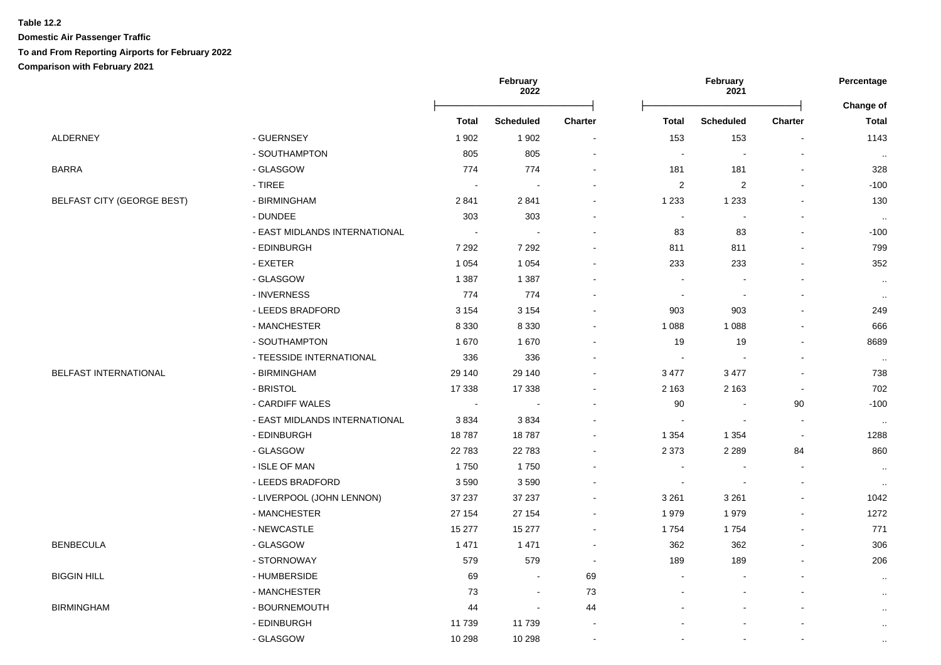**Domestic Air Passenger Traffic To and From Reporting Airports for February 2022**

**Comparison with February 2021**

|                                   |                               |              | February<br>2022 |                |                          | February<br>2021         |                          |                           |
|-----------------------------------|-------------------------------|--------------|------------------|----------------|--------------------------|--------------------------|--------------------------|---------------------------|
|                                   |                               | <b>Total</b> | <b>Scheduled</b> | <b>Charter</b> | <b>Total</b>             | <b>Scheduled</b>         | <b>Charter</b>           | Change of<br><b>Total</b> |
| ALDERNEY                          | - GUERNSEY                    | 1902         | 1 902            | $\sim$         | 153                      | 153                      | $\overline{\phantom{a}}$ | 1143                      |
|                                   | - SOUTHAMPTON                 | 805          | 805              | $\sim$         | $\sim$                   | $\sim$                   | $\overline{\phantom{a}}$ | $\sim$                    |
| <b>BARRA</b>                      | - GLASGOW                     | 774          | 774              |                | 181                      | 181                      | L,                       | 328                       |
|                                   | - TIREE                       | $\sim$       | $\sim$           |                | $\overline{2}$           | $\sqrt{2}$               | $\blacksquare$           | $-100$                    |
| <b>BELFAST CITY (GEORGE BEST)</b> | - BIRMINGHAM                  | 2841         | 2841             |                | 1 2 3 3                  | 1 2 3 3                  |                          | 130                       |
|                                   | - DUNDEE                      | 303          | 303              |                | $\sim$                   |                          |                          | $\sim$                    |
|                                   | - EAST MIDLANDS INTERNATIONAL |              |                  |                | 83                       | 83                       |                          | $-100$                    |
|                                   | - EDINBURGH                   | 7 2 9 2      | 7 2 9 2          |                | 811                      | 811                      |                          | 799                       |
|                                   | - EXETER                      | 1 0 5 4      | 1 0 5 4          |                | 233                      | 233                      |                          | 352                       |
|                                   | - GLASGOW                     | 1 3 8 7      | 1 3 8 7          |                | $\sim$                   |                          |                          | $\sim$                    |
|                                   | - INVERNESS                   | 774          | 774              |                | $\overline{\phantom{a}}$ | $\overline{\phantom{a}}$ | $\blacksquare$           | $\sim$                    |
|                                   | - LEEDS BRADFORD              | 3 1 5 4      | 3 1 5 4          |                | 903                      | 903                      |                          | 249                       |
|                                   | - MANCHESTER                  | 8 3 3 0      | 8 3 3 0          |                | 1 0 8 8                  | 1 0 8 8                  |                          | 666                       |
|                                   | - SOUTHAMPTON                 | 1670         | 1 670            |                | 19                       | 19                       |                          | 8689                      |
|                                   | - TEESSIDE INTERNATIONAL      | 336          | 336              |                | $\blacksquare$           |                          |                          | $\sim$                    |
| BELFAST INTERNATIONAL             | - BIRMINGHAM                  | 29 140       | 29 140           |                | 3 4 7 7                  | 3 4 7 7                  |                          | 738                       |
|                                   | - BRISTOL                     | 17 338       | 17 338           |                | 2 1 6 3                  | 2 1 6 3                  | $\blacksquare$           | 702                       |
|                                   | - CARDIFF WALES               | $\sim$       | $\sim$           |                | 90                       |                          | 90                       | $-100$                    |
|                                   | - EAST MIDLANDS INTERNATIONAL | 3834         | 3834             |                | $\sim$                   | $\sim$                   | $\blacksquare$           | $\sim$                    |
|                                   | - EDINBURGH                   | 18787        | 18787            |                | 1 3 5 4                  | 1 3 5 4                  | $\blacksquare$           | 1288                      |
|                                   | - GLASGOW                     | 22783        | 22 783           |                | 2 3 7 3                  | 2 2 8 9                  | 84                       | 860                       |
|                                   | - ISLE OF MAN                 | 1750         | 1750             |                | $\sim$                   |                          | $\blacksquare$           | $\sim$                    |
|                                   | - LEEDS BRADFORD              | 3590         | 3590             |                | $\sim$                   |                          |                          | $\cdot$ .                 |
|                                   | - LIVERPOOL (JOHN LENNON)     | 37 237       | 37 237           |                | 3 2 6 1                  | 3 2 6 1                  |                          | 1042                      |
|                                   | - MANCHESTER                  | 27 154       | 27 154           |                | 1979                     | 1979                     |                          | 1272                      |
|                                   | - NEWCASTLE                   | 15 277       | 15 277           |                | 1754                     | 1754                     |                          | 771                       |
| <b>BENBECULA</b>                  | - GLASGOW                     | 1471         | 1471             | $\sim$         | 362                      | 362                      |                          | 306                       |
|                                   | - STORNOWAY                   | 579          | 579              | $\sim$         | 189                      | 189                      | $\overline{\phantom{a}}$ | 206                       |
| <b>BIGGIN HILL</b>                | - HUMBERSIDE                  | 69           | $\sim$           | 69             | $\sim$                   |                          | $\overline{a}$           | $\cdot$ .                 |
|                                   | - MANCHESTER                  | 73           | $\blacksquare$   | 73             |                          |                          |                          | $\cdot$ .                 |
| <b>BIRMINGHAM</b>                 | - BOURNEMOUTH                 | 44           | $\sim$           | 44             |                          |                          |                          | $\ddotsc$                 |
|                                   | - EDINBURGH                   | 11739        | 11 739           |                |                          |                          |                          | $\cdot$ .                 |
|                                   | - GLASGOW                     | 10 298       | 10 298           | $\sim$         |                          |                          | $\overline{a}$           | $\cdot$ .                 |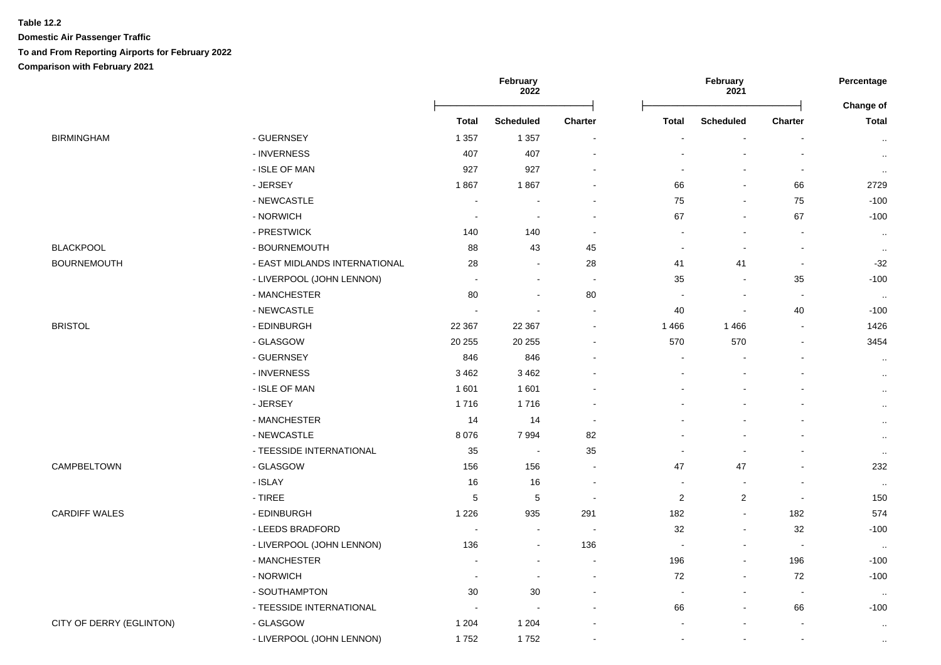## **Table 12.2 Domestic Air Passenger Traffic To and From Reporting Airports for February 2022 Comparison with February 2021**

|                          |                               | February<br>2022         |                          |         | February<br>2021 |                          |                          |                           |
|--------------------------|-------------------------------|--------------------------|--------------------------|---------|------------------|--------------------------|--------------------------|---------------------------|
|                          |                               | <b>Total</b>             | <b>Scheduled</b>         | Charter | <b>Total</b>     | <b>Scheduled</b>         | Charter                  | Change of<br><b>Total</b> |
| <b>BIRMINGHAM</b>        | - GUERNSEY                    | 1 3 5 7                  | 1 3 5 7                  |         |                  |                          |                          | $\cdot$ .                 |
|                          | - INVERNESS                   | 407                      | 407                      |         |                  |                          | $\overline{\phantom{a}}$ | $\ldots$                  |
|                          | - ISLE OF MAN                 | 927                      | 927                      |         | $\sim$           |                          | $\overline{\phantom{a}}$ | $\sim$                    |
|                          | - JERSEY                      | 1867                     | 1867                     |         | 66               |                          | 66                       | 2729                      |
|                          | - NEWCASTLE                   |                          |                          |         | 75               | $\blacksquare$           | 75                       | $-100$                    |
|                          | - NORWICH                     | $\sim$                   | $\sim$                   |         | 67               | $\sim$                   | 67                       | $-100$                    |
|                          | - PRESTWICK                   | 140                      | 140                      |         |                  |                          |                          | $\sim$                    |
| <b>BLACKPOOL</b>         | - BOURNEMOUTH                 | 88                       | 43                       | 45      | $\blacksquare$   |                          | $\blacksquare$           | $\cdot$ .                 |
| <b>BOURNEMOUTH</b>       | - EAST MIDLANDS INTERNATIONAL | 28                       | $\sim$                   | 28      | 41               | 41                       | $\blacksquare$           | $-32$                     |
|                          | - LIVERPOOL (JOHN LENNON)     | $\overline{\phantom{a}}$ | $\blacksquare$           | $\sim$  | 35               |                          | 35                       | $-100$                    |
|                          | - MANCHESTER                  | 80                       | $\blacksquare$           | 80      | $\blacksquare$   | $\blacksquare$           | $\blacksquare$           | $\cdot$ .                 |
|                          | - NEWCASTLE                   |                          |                          | $\sim$  | 40               | $\blacksquare$           | 40                       | $-100$                    |
| <b>BRISTOL</b>           | - EDINBURGH                   | 22 3 67                  | 22 367                   |         | 1 4 6 6          | 1466                     | $\overline{a}$           | 1426                      |
|                          | - GLASGOW                     | 20 25 5                  | 20 25 5                  |         | 570              | 570                      | $\blacksquare$           | 3454                      |
|                          | - GUERNSEY                    | 846                      | 846                      |         | $\sim$           |                          |                          | $\sim$                    |
|                          | - INVERNESS                   | 3 4 6 2                  | 3 4 6 2                  |         | $\blacksquare$   |                          |                          | $\ddotsc$                 |
|                          | - ISLE OF MAN                 | 1601                     | 1 601                    |         |                  |                          |                          | $\cdot$ .                 |
|                          | - JERSEY                      | 1716                     | 1716                     |         |                  |                          |                          | $\cdot$ .                 |
|                          | - MANCHESTER                  | 14                       | 14                       |         |                  |                          |                          | $\ddotsc$                 |
|                          | - NEWCASTLE                   | 8 0 7 6                  | 7 9 9 4                  | 82      |                  |                          |                          | $\cdot$ .                 |
|                          | - TEESSIDE INTERNATIONAL      | 35                       | $\overline{\phantom{a}}$ | 35      | $\sim$           |                          |                          | $\cdot$ .                 |
| <b>CAMPBELTOWN</b>       | - GLASGOW                     | 156                      | 156                      | $\sim$  | 47               | 47                       |                          | 232                       |
|                          | - ISLAY                       | 16                       | 16                       |         | $\blacksquare$   | $\overline{\phantom{a}}$ |                          | $\cdot$ .                 |
|                          | - TIREE                       | 5                        | 5                        |         | $\overline{c}$   | $\overline{c}$           | $\sim$                   | 150                       |
| <b>CARDIFF WALES</b>     | - EDINBURGH                   | 1 2 2 6                  | 935                      | 291     | 182              | $\sim$                   | 182                      | 574                       |
|                          | - LEEDS BRADFORD              |                          | $\sim$                   | $\sim$  | 32               | $\overline{\phantom{a}}$ | 32                       | $-100$                    |
|                          | - LIVERPOOL (JOHN LENNON)     | 136                      | $\sim$                   | 136     | $\sim$           |                          | $\blacksquare$           | $\cdot$ .                 |
|                          | - MANCHESTER                  |                          |                          |         | 196              | $\mathbf{r}$             | 196                      | $-100$                    |
|                          | - NORWICH                     | $\sim$                   | $\sim$                   |         | 72               | $\blacksquare$           | 72                       | $-100$                    |
|                          | - SOUTHAMPTON                 | 30                       | 30                       |         | $\blacksquare$   |                          | $\blacksquare$           | $\sim$                    |
|                          | - TEESSIDE INTERNATIONAL      | $\blacksquare$           | $\sim$                   |         | 66               | $\blacksquare$           | 66                       | $-100$                    |
| CITY OF DERRY (EGLINTON) | - GLASGOW                     | 1 2 0 4                  | 1 2 0 4                  |         |                  |                          |                          | $\cdot$ .                 |
|                          | - LIVERPOOL (JOHN LENNON)     | 1752                     | 1752                     | $\sim$  | $\sim$           |                          | $\sim$                   | $\cdot$ .                 |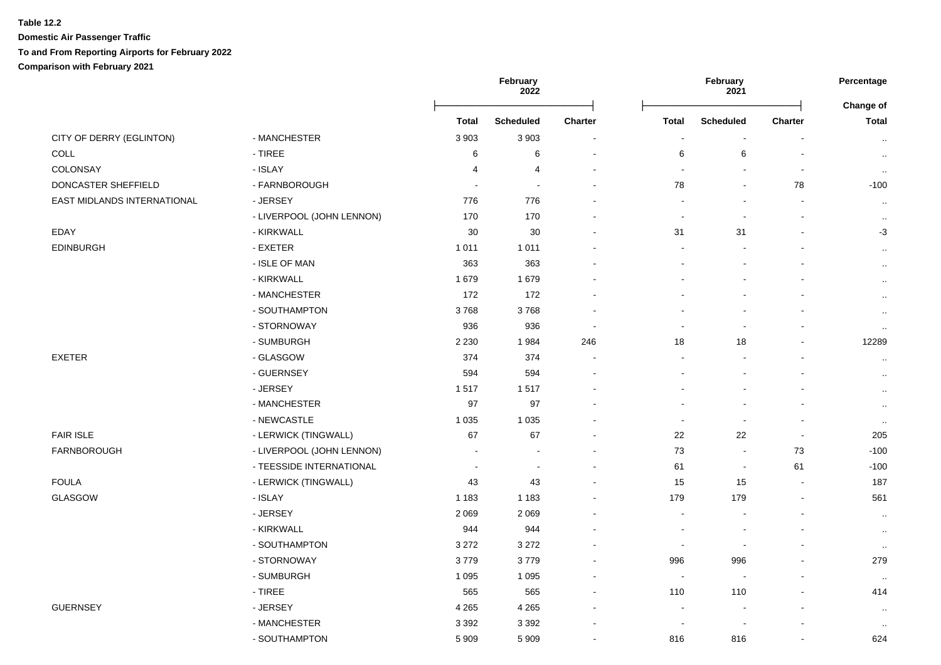### **Table 12.2 Domestic Air Passenger Traffic To and From Reporting Airports for February 2022 Comparison with February 2021**

|                             |                           |                | February<br>2022         |                          |                          | February<br>2021         |                |                           |  | Percentage |
|-----------------------------|---------------------------|----------------|--------------------------|--------------------------|--------------------------|--------------------------|----------------|---------------------------|--|------------|
|                             |                           | <b>Total</b>   | <b>Scheduled</b>         | Charter                  | <b>Total</b>             | <b>Scheduled</b>         | Charter        | Change of<br><b>Total</b> |  |            |
| CITY OF DERRY (EGLINTON)    | - MANCHESTER              | 3 9 0 3        | 3 9 0 3                  |                          | $\overline{\phantom{a}}$ | $\sim$                   |                | $\sim$                    |  |            |
| COLL                        | - TIREE                   | 6              | 6                        |                          | 6                        | 6                        |                | $\cdots$                  |  |            |
| COLONSAY                    | - ISLAY                   | 4              | 4                        |                          | $\sim$                   |                          |                | $\sim$                    |  |            |
| DONCASTER SHEFFIELD         | - FARNBOROUGH             | $\blacksquare$ | $\sim$                   |                          | 78                       | $\blacksquare$           | 78             | $-100$                    |  |            |
| EAST MIDLANDS INTERNATIONAL | - JERSEY                  | 776            | 776                      |                          |                          |                          |                | $\sim$                    |  |            |
|                             | - LIVERPOOL (JOHN LENNON) | 170            | 170                      |                          | $\overline{a}$           |                          |                | $\ddotsc$                 |  |            |
| EDAY                        | - KIRKWALL                | 30             | 30                       |                          | 31                       | 31                       |                | $-3$                      |  |            |
| <b>EDINBURGH</b>            | - EXETER                  | 1 0 1 1        | 1 0 1 1                  |                          |                          |                          |                | $\sim$                    |  |            |
|                             | - ISLE OF MAN             | 363            | 363                      |                          |                          |                          |                | $\sim$                    |  |            |
|                             | - KIRKWALL                | 1679           | 1679                     |                          |                          |                          |                | $\sim$                    |  |            |
|                             | - MANCHESTER              | 172            | 172                      |                          |                          |                          |                | $\sim$                    |  |            |
|                             | - SOUTHAMPTON             | 3768           | 3768                     |                          |                          |                          |                | $\sim$                    |  |            |
|                             | - STORNOWAY               | 936            | 936                      |                          |                          |                          |                | $\sim$                    |  |            |
|                             | - SUMBURGH                | 2 2 3 0        | 1984                     | 246                      | 18                       | 18                       |                | 12289                     |  |            |
| <b>EXETER</b>               | - GLASGOW                 | 374            | 374                      |                          | $\overline{\phantom{a}}$ |                          |                | $\ddotsc$                 |  |            |
|                             | - GUERNSEY                | 594            | 594                      |                          |                          |                          |                | $\sim$                    |  |            |
|                             | - JERSEY                  | 1517           | 1517                     |                          |                          |                          |                | $\sim$                    |  |            |
|                             | - MANCHESTER              | 97             | 97                       |                          |                          |                          |                | $\sim$                    |  |            |
|                             | - NEWCASTLE               | 1 0 3 5        | 1 0 3 5                  |                          | $\blacksquare$           | $\blacksquare$           |                | $\cdot$ .                 |  |            |
| <b>FAIR ISLE</b>            | - LERWICK (TINGWALL)      | 67             | 67                       | $\sim$                   | 22                       | 22                       | $\sim$         | 205                       |  |            |
| FARNBOROUGH                 | - LIVERPOOL (JOHN LENNON) |                |                          |                          | 73                       | $\sim$                   | 73             | $-100$                    |  |            |
|                             | - TEESSIDE INTERNATIONAL  | $\blacksquare$ | $\overline{\phantom{a}}$ | $\overline{\phantom{a}}$ | 61                       | $\overline{\phantom{a}}$ | 61             | $-100$                    |  |            |
| <b>FOULA</b>                | - LERWICK (TINGWALL)      | 43             | 43                       |                          | 15                       | 15                       | $\blacksquare$ | 187                       |  |            |
| GLASGOW                     | - ISLAY                   | 1 1 8 3        | 1 1 8 3                  |                          | 179                      | 179                      | $\blacksquare$ | 561                       |  |            |
|                             | - JERSEY                  | 2 0 6 9        | 2 0 6 9                  |                          | $\overline{\phantom{a}}$ |                          |                | $\sim$                    |  |            |
|                             | - KIRKWALL                | 944            | 944                      |                          |                          |                          |                | $\sim$                    |  |            |
|                             | - SOUTHAMPTON             | 3 2 7 2        | 3 2 7 2                  |                          |                          |                          |                | $\sim$                    |  |            |
|                             | - STORNOWAY               | 3779           | 3779                     |                          | 996                      | 996                      |                | 279                       |  |            |
|                             | - SUMBURGH                | 1 0 9 5        | 1 0 9 5                  |                          |                          |                          |                | $\cdot$ .                 |  |            |
|                             | - TIREE                   | 565            | 565                      | $\sim$                   | 110                      | 110                      |                | 414                       |  |            |

- MANCHESTER 3 392 3 392 - - - - ..

GUERNSEY - JERSEY 4 265 4 265 - - - - ..

- SOUTHAMPTON 5 909 5 909 - 816 816 - 624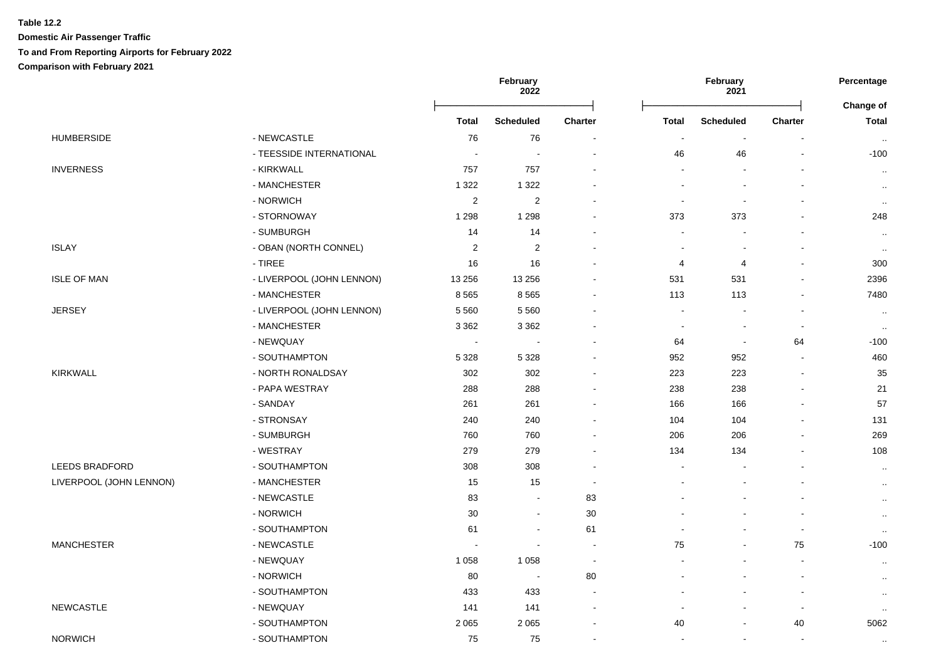**Domestic Air Passenger Traffic**

# **To and From Reporting Airports for February 2022**

**Comparison with February 2021**

|                         |                           |                                                                                                                                                                                                                                                                                                                                                                                                                                                                                                                                                                                                                                                                                                                                                                                                                                                                                                                                                                                                                                                                                                                                                                                                                                                                                                                                                                                                                                                                                                                                                                                                                                                                                                                                                                                                                                                                                                                                                                                                                                                                                                                                           | 2022             |                | February<br>2021 |                  | Percentage     |                           |
|-------------------------|---------------------------|-------------------------------------------------------------------------------------------------------------------------------------------------------------------------------------------------------------------------------------------------------------------------------------------------------------------------------------------------------------------------------------------------------------------------------------------------------------------------------------------------------------------------------------------------------------------------------------------------------------------------------------------------------------------------------------------------------------------------------------------------------------------------------------------------------------------------------------------------------------------------------------------------------------------------------------------------------------------------------------------------------------------------------------------------------------------------------------------------------------------------------------------------------------------------------------------------------------------------------------------------------------------------------------------------------------------------------------------------------------------------------------------------------------------------------------------------------------------------------------------------------------------------------------------------------------------------------------------------------------------------------------------------------------------------------------------------------------------------------------------------------------------------------------------------------------------------------------------------------------------------------------------------------------------------------------------------------------------------------------------------------------------------------------------------------------------------------------------------------------------------------------------|------------------|----------------|------------------|------------------|----------------|---------------------------|
|                         |                           | Total                                                                                                                                                                                                                                                                                                                                                                                                                                                                                                                                                                                                                                                                                                                                                                                                                                                                                                                                                                                                                                                                                                                                                                                                                                                                                                                                                                                                                                                                                                                                                                                                                                                                                                                                                                                                                                                                                                                                                                                                                                                                                                                                     | <b>Scheduled</b> | <b>Charter</b> | <b>Total</b>     | <b>Scheduled</b> | <b>Charter</b> | Change of<br><b>Total</b> |
| <b>HUMBERSIDE</b>       | - NEWCASTLE               | February<br>76<br>76<br>$\blacksquare$<br>$\overline{\phantom{a}}$<br>Ĭ.<br>$\overline{a}$<br>46<br>46<br>$\overline{\phantom{a}}$<br>$\overline{\phantom{a}}$<br>Ĭ.<br>$\overline{a}$<br>757<br>757<br>$\blacksquare$<br>1 3 2 2<br>1 3 2 2<br>$\overline{\phantom{a}}$<br>$\overline{2}$<br>$\overline{2}$<br>$\blacksquare$<br>1 2 9 8<br>1 2 9 8<br>373<br>373<br>ä,<br>$\overline{\phantom{a}}$<br>14<br>14<br>$\sim$<br>۰<br>$\sqrt{2}$<br>$\sqrt{2}$<br>$\blacksquare$<br>$\blacksquare$<br>$\blacksquare$<br>$\overline{\phantom{a}}$<br>16<br>16<br>4<br>4<br>$\blacksquare$<br>$\mathbf{r}$<br>13 256<br>13 25 6<br>531<br>531<br>$\blacksquare$<br>$\blacksquare$<br>8 5 6 5<br>8565<br>113<br>113<br>$\overline{a}$<br>5 5 6 0<br>5 5 6 0<br>$\sim$<br>$\overline{a}$<br>3 3 6 2<br>3 3 6 2<br>$\blacksquare$<br>$\blacksquare$<br>٠<br>$\overline{\phantom{a}}$<br>64<br>64<br>$\sim$<br>$\overline{\phantom{a}}$<br>$\blacksquare$<br>$\blacksquare$<br>5 3 2 8<br>952<br>5 3 2 8<br>952<br>ä,<br>$\blacksquare$<br>302<br>302<br>223<br>223<br>ä,<br>$\blacksquare$<br>288<br>288<br>238<br>238<br>$\blacksquare$<br>$\blacksquare$<br>261<br>261<br>166<br>166<br>$\blacksquare$<br>$\blacksquare$<br>240<br>240<br>104<br>104<br>$\overline{a}$<br>÷<br>760<br>760<br>206<br>206<br>279<br>279<br>134<br>134<br>$\blacksquare$<br>308<br>308<br>$\blacksquare$<br>$\overline{\phantom{a}}$<br>$\blacksquare$<br>15<br>15<br>$\blacksquare$<br>$\overline{a}$<br>$\overline{a}$<br>83<br>83<br>$\sim$<br>L,<br>30<br>30<br>$\sim$<br>$\overline{\phantom{a}}$<br>$\blacksquare$<br>61<br>61<br>$\overline{\phantom{a}}$<br>$\blacksquare$<br>$\blacksquare$<br>75<br>75<br>$\blacksquare$<br>$\overline{\phantom{a}}$<br>1 0 5 8<br>1 0 5 8<br>$\blacksquare$<br>$\blacksquare$<br>80<br>80<br>$\overline{\phantom{a}}$<br>$\blacksquare$<br>$\blacksquare$<br>433<br>433<br>$\blacksquare$<br>$\overline{a}$<br>$\overline{a}$<br>141<br>141<br>$\blacksquare$<br>$\blacksquare$<br>$\blacksquare$<br>2 0 6 5<br>2 0 6 5<br>40<br>40<br>ä,<br>$\blacksquare$<br>75<br>75<br>$\sim$<br>$\blacksquare$<br>$\sim$<br>$\sim$ | $\sim$           |                |                  |                  |                |                           |
|                         | - TEESSIDE INTERNATIONAL  |                                                                                                                                                                                                                                                                                                                                                                                                                                                                                                                                                                                                                                                                                                                                                                                                                                                                                                                                                                                                                                                                                                                                                                                                                                                                                                                                                                                                                                                                                                                                                                                                                                                                                                                                                                                                                                                                                                                                                                                                                                                                                                                                           |                  |                |                  |                  |                | $-100$                    |
| <b>INVERNESS</b>        | - KIRKWALL                |                                                                                                                                                                                                                                                                                                                                                                                                                                                                                                                                                                                                                                                                                                                                                                                                                                                                                                                                                                                                                                                                                                                                                                                                                                                                                                                                                                                                                                                                                                                                                                                                                                                                                                                                                                                                                                                                                                                                                                                                                                                                                                                                           |                  |                |                  |                  |                | $\sim$                    |
|                         | - MANCHESTER              |                                                                                                                                                                                                                                                                                                                                                                                                                                                                                                                                                                                                                                                                                                                                                                                                                                                                                                                                                                                                                                                                                                                                                                                                                                                                                                                                                                                                                                                                                                                                                                                                                                                                                                                                                                                                                                                                                                                                                                                                                                                                                                                                           |                  |                |                  |                  |                | $\cdot$ .                 |
|                         | - NORWICH                 |                                                                                                                                                                                                                                                                                                                                                                                                                                                                                                                                                                                                                                                                                                                                                                                                                                                                                                                                                                                                                                                                                                                                                                                                                                                                                                                                                                                                                                                                                                                                                                                                                                                                                                                                                                                                                                                                                                                                                                                                                                                                                                                                           |                  |                |                  |                  |                | $\sim$                    |
|                         | - STORNOWAY               |                                                                                                                                                                                                                                                                                                                                                                                                                                                                                                                                                                                                                                                                                                                                                                                                                                                                                                                                                                                                                                                                                                                                                                                                                                                                                                                                                                                                                                                                                                                                                                                                                                                                                                                                                                                                                                                                                                                                                                                                                                                                                                                                           |                  |                |                  |                  |                | 248                       |
|                         | - SUMBURGH                |                                                                                                                                                                                                                                                                                                                                                                                                                                                                                                                                                                                                                                                                                                                                                                                                                                                                                                                                                                                                                                                                                                                                                                                                                                                                                                                                                                                                                                                                                                                                                                                                                                                                                                                                                                                                                                                                                                                                                                                                                                                                                                                                           |                  |                |                  |                  |                | $\ddotsc$                 |
| <b>ISLAY</b>            | - OBAN (NORTH CONNEL)     |                                                                                                                                                                                                                                                                                                                                                                                                                                                                                                                                                                                                                                                                                                                                                                                                                                                                                                                                                                                                                                                                                                                                                                                                                                                                                                                                                                                                                                                                                                                                                                                                                                                                                                                                                                                                                                                                                                                                                                                                                                                                                                                                           |                  |                |                  |                  |                | $\sim$                    |
|                         | - TIREE                   |                                                                                                                                                                                                                                                                                                                                                                                                                                                                                                                                                                                                                                                                                                                                                                                                                                                                                                                                                                                                                                                                                                                                                                                                                                                                                                                                                                                                                                                                                                                                                                                                                                                                                                                                                                                                                                                                                                                                                                                                                                                                                                                                           |                  |                |                  |                  |                | 300                       |
| <b>ISLE OF MAN</b>      | - LIVERPOOL (JOHN LENNON) |                                                                                                                                                                                                                                                                                                                                                                                                                                                                                                                                                                                                                                                                                                                                                                                                                                                                                                                                                                                                                                                                                                                                                                                                                                                                                                                                                                                                                                                                                                                                                                                                                                                                                                                                                                                                                                                                                                                                                                                                                                                                                                                                           |                  |                |                  |                  |                | 2396                      |
|                         | - MANCHESTER              |                                                                                                                                                                                                                                                                                                                                                                                                                                                                                                                                                                                                                                                                                                                                                                                                                                                                                                                                                                                                                                                                                                                                                                                                                                                                                                                                                                                                                                                                                                                                                                                                                                                                                                                                                                                                                                                                                                                                                                                                                                                                                                                                           |                  |                |                  |                  |                | 7480                      |
| <b>JERSEY</b>           | - LIVERPOOL (JOHN LENNON) |                                                                                                                                                                                                                                                                                                                                                                                                                                                                                                                                                                                                                                                                                                                                                                                                                                                                                                                                                                                                                                                                                                                                                                                                                                                                                                                                                                                                                                                                                                                                                                                                                                                                                                                                                                                                                                                                                                                                                                                                                                                                                                                                           |                  |                |                  |                  |                | $\sim$                    |
|                         | - MANCHESTER              |                                                                                                                                                                                                                                                                                                                                                                                                                                                                                                                                                                                                                                                                                                                                                                                                                                                                                                                                                                                                                                                                                                                                                                                                                                                                                                                                                                                                                                                                                                                                                                                                                                                                                                                                                                                                                                                                                                                                                                                                                                                                                                                                           |                  |                |                  |                  |                | $\cdot$ .                 |
|                         | - NEWQUAY                 |                                                                                                                                                                                                                                                                                                                                                                                                                                                                                                                                                                                                                                                                                                                                                                                                                                                                                                                                                                                                                                                                                                                                                                                                                                                                                                                                                                                                                                                                                                                                                                                                                                                                                                                                                                                                                                                                                                                                                                                                                                                                                                                                           |                  |                |                  |                  |                | $-100$                    |
|                         | - SOUTHAMPTON             |                                                                                                                                                                                                                                                                                                                                                                                                                                                                                                                                                                                                                                                                                                                                                                                                                                                                                                                                                                                                                                                                                                                                                                                                                                                                                                                                                                                                                                                                                                                                                                                                                                                                                                                                                                                                                                                                                                                                                                                                                                                                                                                                           |                  |                |                  |                  |                | 460                       |
| <b>KIRKWALL</b>         | - NORTH RONALDSAY         |                                                                                                                                                                                                                                                                                                                                                                                                                                                                                                                                                                                                                                                                                                                                                                                                                                                                                                                                                                                                                                                                                                                                                                                                                                                                                                                                                                                                                                                                                                                                                                                                                                                                                                                                                                                                                                                                                                                                                                                                                                                                                                                                           |                  |                |                  |                  |                | 35                        |
|                         | - PAPA WESTRAY            |                                                                                                                                                                                                                                                                                                                                                                                                                                                                                                                                                                                                                                                                                                                                                                                                                                                                                                                                                                                                                                                                                                                                                                                                                                                                                                                                                                                                                                                                                                                                                                                                                                                                                                                                                                                                                                                                                                                                                                                                                                                                                                                                           |                  |                |                  |                  |                | 21                        |
|                         | - SANDAY                  |                                                                                                                                                                                                                                                                                                                                                                                                                                                                                                                                                                                                                                                                                                                                                                                                                                                                                                                                                                                                                                                                                                                                                                                                                                                                                                                                                                                                                                                                                                                                                                                                                                                                                                                                                                                                                                                                                                                                                                                                                                                                                                                                           |                  |                |                  |                  |                | 57                        |
|                         | - STRONSAY                |                                                                                                                                                                                                                                                                                                                                                                                                                                                                                                                                                                                                                                                                                                                                                                                                                                                                                                                                                                                                                                                                                                                                                                                                                                                                                                                                                                                                                                                                                                                                                                                                                                                                                                                                                                                                                                                                                                                                                                                                                                                                                                                                           |                  |                |                  |                  |                | 131                       |
|                         | - SUMBURGH                |                                                                                                                                                                                                                                                                                                                                                                                                                                                                                                                                                                                                                                                                                                                                                                                                                                                                                                                                                                                                                                                                                                                                                                                                                                                                                                                                                                                                                                                                                                                                                                                                                                                                                                                                                                                                                                                                                                                                                                                                                                                                                                                                           |                  |                |                  |                  |                | 269                       |
|                         | - WESTRAY                 |                                                                                                                                                                                                                                                                                                                                                                                                                                                                                                                                                                                                                                                                                                                                                                                                                                                                                                                                                                                                                                                                                                                                                                                                                                                                                                                                                                                                                                                                                                                                                                                                                                                                                                                                                                                                                                                                                                                                                                                                                                                                                                                                           |                  |                |                  |                  |                | 108                       |
| <b>LEEDS BRADFORD</b>   | - SOUTHAMPTON             |                                                                                                                                                                                                                                                                                                                                                                                                                                                                                                                                                                                                                                                                                                                                                                                                                                                                                                                                                                                                                                                                                                                                                                                                                                                                                                                                                                                                                                                                                                                                                                                                                                                                                                                                                                                                                                                                                                                                                                                                                                                                                                                                           |                  |                |                  |                  |                | $\cdot$ .                 |
| LIVERPOOL (JOHN LENNON) | - MANCHESTER              |                                                                                                                                                                                                                                                                                                                                                                                                                                                                                                                                                                                                                                                                                                                                                                                                                                                                                                                                                                                                                                                                                                                                                                                                                                                                                                                                                                                                                                                                                                                                                                                                                                                                                                                                                                                                                                                                                                                                                                                                                                                                                                                                           |                  |                |                  |                  |                | $\cdot$ .                 |
|                         | - NEWCASTLE               |                                                                                                                                                                                                                                                                                                                                                                                                                                                                                                                                                                                                                                                                                                                                                                                                                                                                                                                                                                                                                                                                                                                                                                                                                                                                                                                                                                                                                                                                                                                                                                                                                                                                                                                                                                                                                                                                                                                                                                                                                                                                                                                                           |                  |                |                  |                  |                | $\cdot$ .                 |
|                         | - NORWICH                 |                                                                                                                                                                                                                                                                                                                                                                                                                                                                                                                                                                                                                                                                                                                                                                                                                                                                                                                                                                                                                                                                                                                                                                                                                                                                                                                                                                                                                                                                                                                                                                                                                                                                                                                                                                                                                                                                                                                                                                                                                                                                                                                                           |                  |                |                  |                  |                | $\cdot$ .                 |
|                         | - SOUTHAMPTON             |                                                                                                                                                                                                                                                                                                                                                                                                                                                                                                                                                                                                                                                                                                                                                                                                                                                                                                                                                                                                                                                                                                                                                                                                                                                                                                                                                                                                                                                                                                                                                                                                                                                                                                                                                                                                                                                                                                                                                                                                                                                                                                                                           |                  |                |                  |                  |                | $\sim$                    |
| <b>MANCHESTER</b>       | - NEWCASTLE               |                                                                                                                                                                                                                                                                                                                                                                                                                                                                                                                                                                                                                                                                                                                                                                                                                                                                                                                                                                                                                                                                                                                                                                                                                                                                                                                                                                                                                                                                                                                                                                                                                                                                                                                                                                                                                                                                                                                                                                                                                                                                                                                                           |                  |                |                  |                  |                | $-100$                    |
|                         | - NEWQUAY                 |                                                                                                                                                                                                                                                                                                                                                                                                                                                                                                                                                                                                                                                                                                                                                                                                                                                                                                                                                                                                                                                                                                                                                                                                                                                                                                                                                                                                                                                                                                                                                                                                                                                                                                                                                                                                                                                                                                                                                                                                                                                                                                                                           |                  |                |                  |                  |                | $\cdot$ .                 |
|                         | - NORWICH                 |                                                                                                                                                                                                                                                                                                                                                                                                                                                                                                                                                                                                                                                                                                                                                                                                                                                                                                                                                                                                                                                                                                                                                                                                                                                                                                                                                                                                                                                                                                                                                                                                                                                                                                                                                                                                                                                                                                                                                                                                                                                                                                                                           |                  |                |                  |                  |                | $\cdot$ .                 |
|                         | - SOUTHAMPTON             |                                                                                                                                                                                                                                                                                                                                                                                                                                                                                                                                                                                                                                                                                                                                                                                                                                                                                                                                                                                                                                                                                                                                                                                                                                                                                                                                                                                                                                                                                                                                                                                                                                                                                                                                                                                                                                                                                                                                                                                                                                                                                                                                           |                  |                |                  |                  |                | $\sim$                    |
| <b>NEWCASTLE</b>        | - NEWQUAY                 |                                                                                                                                                                                                                                                                                                                                                                                                                                                                                                                                                                                                                                                                                                                                                                                                                                                                                                                                                                                                                                                                                                                                                                                                                                                                                                                                                                                                                                                                                                                                                                                                                                                                                                                                                                                                                                                                                                                                                                                                                                                                                                                                           |                  |                |                  |                  |                | $\cdot$ .                 |
|                         | - SOUTHAMPTON             |                                                                                                                                                                                                                                                                                                                                                                                                                                                                                                                                                                                                                                                                                                                                                                                                                                                                                                                                                                                                                                                                                                                                                                                                                                                                                                                                                                                                                                                                                                                                                                                                                                                                                                                                                                                                                                                                                                                                                                                                                                                                                                                                           |                  |                |                  |                  |                | 5062                      |
| <b>NORWICH</b>          | - SOUTHAMPTON             |                                                                                                                                                                                                                                                                                                                                                                                                                                                                                                                                                                                                                                                                                                                                                                                                                                                                                                                                                                                                                                                                                                                                                                                                                                                                                                                                                                                                                                                                                                                                                                                                                                                                                                                                                                                                                                                                                                                                                                                                                                                                                                                                           |                  |                |                  |                  |                | $\cdot$ .                 |